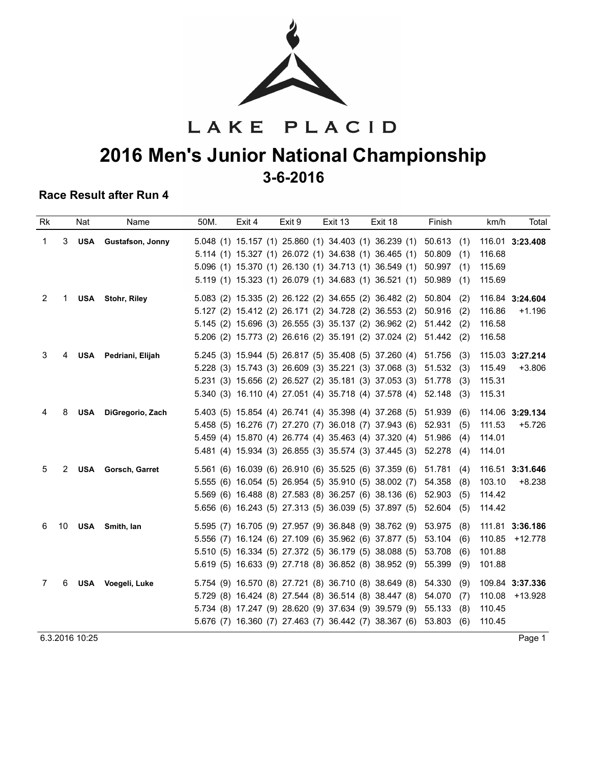

# LAKE PLACID **2016 Men's Junior National Championship 3-6-2016**

#### **Race Result after Run 4**

| <b>Rk</b> |    | Nat        | Name                    | 50M. | Exit 4 | Exit 9 | Exit 13 | Exit 18                                                          | Finish        | km/h<br>Total       |
|-----------|----|------------|-------------------------|------|--------|--------|---------|------------------------------------------------------------------|---------------|---------------------|
| 1         | 3  | USA        | Gustafson, Jonny        |      |        |        |         | 5.048 (1) 15.157 (1) 25.860 (1) 34.403 (1) 36.239 (1)            | 50.613<br>(1) | 116.01 3:23.408     |
|           |    |            |                         |      |        |        |         | 5.114 (1) 15.327 (1) 26.072 (1) 34.638 (1) 36.465 (1)            | 50.809<br>(1) | 116.68              |
|           |    |            |                         |      |        |        |         | 5.096 (1) 15.370 (1) 26.130 (1) 34.713 (1) 36.549 (1)            | 50.997<br>(1) | 115.69              |
|           |    |            |                         |      |        |        |         | 5.119 (1) 15.323 (1) 26.079 (1) 34.683 (1) 36.521 (1)            | 50.989<br>(1) | 115.69              |
| 2         | 1  |            | <b>USA</b> Stohr, Riley |      |        |        |         | 5.083 (2) 15.335 (2) 26.122 (2) 34.655 (2) 36.482 (2)            | 50.804<br>(2) | 116.84 3:24.604     |
|           |    |            |                         |      |        |        |         | 5.127 (2) 15.412 (2) 26.171 (2) 34.728 (2) 36.553 (2)            | 50.916<br>(2) | 116.86<br>$+1.196$  |
|           |    |            |                         |      |        |        |         | 5.145 (2) 15.696 (3) 26.555 (3) 35.137 (2) 36.962 (2) 51.442 (2) |               | 116.58              |
|           |    |            |                         |      |        |        |         | 5.206 (2) 15.773 (2) 26.616 (2) 35.191 (2) 37.024 (2)            | 51.442(2)     | 116.58              |
| 3         | 4  | <b>USA</b> | Pedriani, Elijah        |      |        |        |         | 5.245 (3) 15.944 (5) 26.817 (5) 35.408 (5) 37.260 (4)            | 51.756<br>(3) | 115.03 3:27.214     |
|           |    |            |                         |      |        |        |         | 5.228 (3) 15.743 (3) 26.609 (3) 35.221 (3) 37.068 (3)            | 51.532<br>(3) | 115.49<br>$+3.806$  |
|           |    |            |                         |      |        |        |         | 5.231 (3) 15.656 (2) 26.527 (2) 35.181 (3) 37.053 (3)            | 51.778<br>(3) | 115.31              |
|           |    |            |                         |      |        |        |         | 5.340 (3) 16.110 (4) 27.051 (4) 35.718 (4) 37.578 (4)            | 52.148<br>(3) | 115.31              |
| 4         | 8  | <b>USA</b> | DiGregorio, Zach        |      |        |        |         | 5.403 (5) 15.854 (4) 26.741 (4) 35.398 (4) 37.268 (5)            | 51.939<br>(6) | 114.06 3:29.134     |
|           |    |            |                         |      |        |        |         | 5.458 (5) 16.276 (7) 27.270 (7) 36.018 (7) 37.943 (6)            | 52.931<br>(5) | 111.53<br>$+5.726$  |
|           |    |            |                         |      |        |        |         | 5.459 (4) 15.870 (4) 26.774 (4) 35.463 (4) 37.320 (4)            | 51.986<br>(4) | 114.01              |
|           |    |            |                         |      |        |        |         | 5.481 (4) 15.934 (3) 26.855 (3) 35.574 (3) 37.445 (3)            | 52.278<br>(4) | 114.01              |
| 5         | 2  |            | USA Gorsch, Garret      |      |        |        |         | 5.561 (6) 16.039 (6) 26.910 (6) 35.525 (6) 37.359 (6) 51.781     | (4)           | 116.51 3:31.646     |
|           |    |            |                         |      |        |        |         | 5.555 (6) 16.054 (5) 26.954 (5) 35.910 (5) 38.002 (7)            | 54.358<br>(8) | 103.10<br>$+8.238$  |
|           |    |            |                         |      |        |        |         | 5.569 (6) 16.488 (8) 27.583 (8) 36.257 (6) 38.136 (6)            | 52.903<br>(5) | 114.42              |
|           |    |            |                         |      |        |        |         | 5.656 (6) 16.243 (5) 27.313 (5) 36.039 (5) 37.897 (5)            | 52.604<br>(5) | 114.42              |
| 6         | 10 |            | USA Smith, lan          |      |        |        |         | 5.595 (7) 16.705 (9) 27.957 (9) 36.848 (9) 38.762 (9)            | 53.975<br>(8) | 111.81 3:36.186     |
|           |    |            |                         |      |        |        |         | 5.556 (7) 16.124 (6) 27.109 (6) 35.962 (6) 37.877 (5)            | 53.104<br>(6) | 110.85<br>$+12.778$ |
|           |    |            |                         |      |        |        |         | 5.510 (5) 16.334 (5) 27.372 (5) 36.179 (5) 38.088 (5)            | 53.708<br>(6) | 101.88              |
|           |    |            |                         |      |        |        |         | 5.619 (5) 16.633 (9) 27.718 (8) 36.852 (8) 38.952 (9)            | 55.399<br>(9) | 101.88              |
| 7         | 6  |            | USA Voegeli, Luke       |      |        |        |         | 5.754 (9) 16.570 (8) 27.721 (8) 36.710 (8) 38.649 (8)            | 54.330<br>(9) | 109.84 3:37.336     |
|           |    |            |                         |      |        |        |         | 5.729 (8) 16.424 (8) 27.544 (8) 36.514 (8) 38.447 (8)            | 54.070<br>(7) | 110.08<br>+13.928   |
|           |    |            |                         |      |        |        |         | 5.734 (8) 17.247 (9) 28.620 (9) 37.634 (9) 39.579 (9)            | 55.133<br>(8) | 110.45              |
|           |    |            |                         |      |        |        |         | 5.676 (7) 16.360 (7) 27.463 (7) 36.442 (7) 38.367 (6) 53.803     | (6)           | 110.45              |

6.3.2016 10:25 Page 1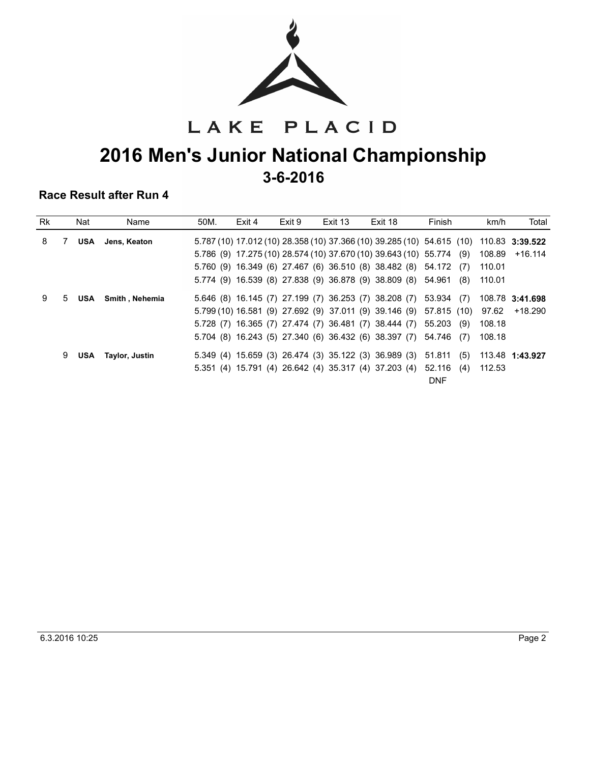

LAKE PLACID

## **2016 Men's Junior National Championship 3-6-2016**

| <b>Rk</b> |   | Nat | Name            | 50M. | Exit 4 | Exit 9 | Exit 13 | Exit 18                                                              | Finish     | Total<br>km/h                                                                          |
|-----------|---|-----|-----------------|------|--------|--------|---------|----------------------------------------------------------------------|------------|----------------------------------------------------------------------------------------|
| 8         |   | USA | Jens, Keaton    |      |        |        |         |                                                                      |            | 5.787 (10) 17.012 (10) 28.358 (10) 37.366 (10) 39.285 (10) 54.615 (10) 110.83 3:39.522 |
|           |   |     |                 |      |        |        |         | 5.786 (9) 17.275 (10) 28.574 (10) 37.670 (10) 39.643 (10) 55.774 (9) |            | 108.89<br>+16.114                                                                      |
|           |   |     |                 |      |        |        |         | 5.760 (9) 16.349 (6) 27.467 (6) 36.510 (8) 38.482 (8) 54.172 (7)     |            | 110.01                                                                                 |
|           |   |     |                 |      |        |        |         | 5.774 (9) 16.539 (8) 27.838 (9) 36.878 (9) 38.809 (8) 54.961         | (8)        | 110.01                                                                                 |
| 9         | 5 | USA | Smith . Nehemia |      |        |        |         | 5.646 (8) 16.145 (7) 27.199 (7) 36.253 (7) 38.208 (7) 53.934 (7)     |            | 108.78 3:41.698                                                                        |
|           |   |     |                 |      |        |        |         | 5.799 (10) 16.581 (9) 27.692 (9) 37.011 (9) 39.146 (9) 57.815 (10)   |            | 97.62<br>+18.290                                                                       |
|           |   |     |                 |      |        |        |         | 5.728 (7) 16.365 (7) 27.474 (7) 36.481 (7) 38.444 (7) 55.203 (9)     |            | 108.18                                                                                 |
|           |   |     |                 |      |        |        |         | 5.704 (8) 16.243 (5) 27.340 (6) 36.432 (6) 38.397 (7) 54.746 (7)     |            | 108.18                                                                                 |
|           | 9 | USA | Taylor, Justin  |      |        |        |         | 5.349 (4) 15.659 (3) 26.474 (3) 35.122 (3) 36.989 (3) 51.811         | (5)        | 113.48 1:43.927                                                                        |
|           |   |     |                 |      |        |        |         | 5.351 (4) 15.791 (4) 26.642 (4) 35.317 (4) 37.203 (4) 52.116         | (4)        | 112.53                                                                                 |
|           |   |     |                 |      |        |        |         |                                                                      | <b>DNF</b> |                                                                                        |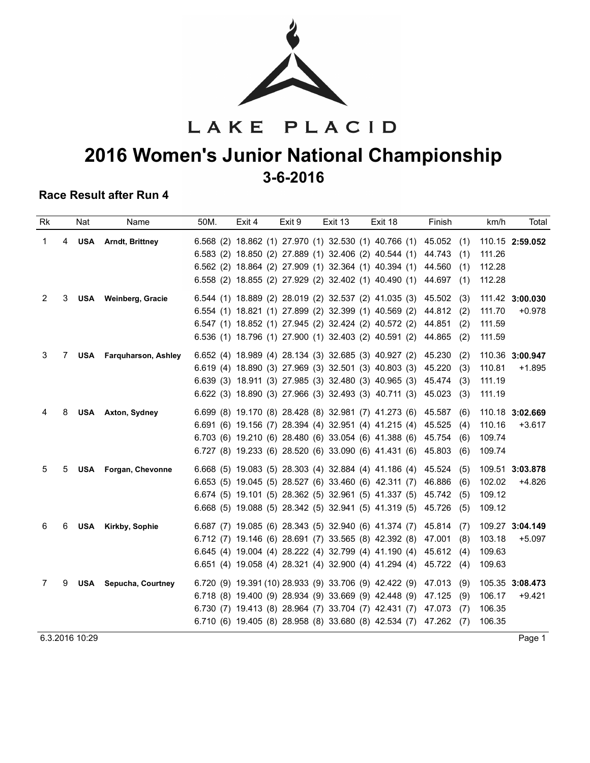

LAKE PLACID

## **2016 Women's Junior National Championship 3-6-2016**

#### **Race Result after Run 4**

| <b>Rk</b> |   | Nat        | Name                           | 50M. | Exit 4 | Exit 9 | Exit 13 | Exit 18                                                      | Finish        | Total<br>km/h      |
|-----------|---|------------|--------------------------------|------|--------|--------|---------|--------------------------------------------------------------|---------------|--------------------|
| 1         | 4 | <b>USA</b> | <b>Arndt, Brittney</b>         |      |        |        |         | 6.568 (2) 18.862 (1) 27.970 (1) 32.530 (1) 40.766 (1) 45.052 | (1)           | 110.15 2:59.052    |
|           |   |            |                                |      |        |        |         | 6.583 (2) 18.850 (2) 27.889 (1) 32.406 (2) 40.544 (1)        | 44.743<br>(1) | 111.26             |
|           |   |            |                                |      |        |        |         | 6.562 (2) 18.864 (2) 27.909 (1) 32.364 (1) 40.394 (1)        | 44.560<br>(1) | 112.28             |
|           |   |            |                                |      |        |        |         | 6.558 (2) 18.855 (2) 27.929 (2) 32.402 (1) 40.490 (1)        | 44.697<br>(1) | 112.28             |
| 2         | 3 |            | USA Weinberg, Gracie           |      |        |        |         | 6.544 (1) 18.889 (2) 28.019 (2) 32.537 (2) 41.035 (3)        | 45.502<br>(3) | 111.42 3:00.030    |
|           |   |            |                                |      |        |        |         | 6.554 (1) 18.821 (1) 27.899 (2) 32.399 (1) 40.569 (2)        | 44.812<br>(2) | 111.70<br>$+0.978$ |
|           |   |            |                                |      |        |        |         | 6.547 (1) 18.852 (1) 27.945 (2) 32.424 (2) 40.572 (2)        | 44.851<br>(2) | 111.59             |
|           |   |            |                                |      |        |        |         | 6.536 (1) 18.796 (1) 27.900 (1) 32.403 (2) 40.591 (2)        | 44.865<br>(2) | 111.59             |
| 3         | 7 |            | <b>USA</b> Farguharson, Ashley |      |        |        |         | 6.652 (4) 18.989 (4) 28.134 (3) 32.685 (3) 40.927 (2)        | 45.230<br>(2) | 110.36 3:00.947    |
|           |   |            |                                |      |        |        |         | 6.619 (4) 18.890 (3) 27.969 (3) 32.501 (3) 40.803 (3)        | 45.220<br>(3) | 110.81<br>$+1.895$ |
|           |   |            |                                |      |        |        |         | 6.639 (3) 18.911 (3) 27.985 (3) 32.480 (3) 40.965 (3)        | 45.474<br>(3) | 111.19             |
|           |   |            |                                |      |        |        |         | 6.622 (3) 18.890 (3) 27.966 (3) 32.493 (3) 40.711 (3)        | 45.023<br>(3) | 111.19             |
| 4         | 8 |            | <b>USA</b> Axton, Sydney       |      |        |        |         | 6.699 (8) 19.170 (8) 28.428 (8) 32.981 (7) 41.273 (6)        | 45.587<br>(6) | 110.18 3:02.669    |
|           |   |            |                                |      |        |        |         | 6.691 (6) 19.156 (7) 28.394 (4) 32.951 (4) 41.215 (4)        | 45.525<br>(4) | 110.16<br>$+3.617$ |
|           |   |            |                                |      |        |        |         | 6.703 (6) 19.210 (6) 28.480 (6) 33.054 (6) 41.388 (6) 45.754 | (6)           | 109.74             |
|           |   |            |                                |      |        |        |         | $6.727$ (8) 19.233 (6) 28.520 (6) 33.090 (6) 41.431 (6)      | 45.803<br>(6) | 109.74             |
| 5         | 5 |            | USA Forgan, Chevonne           |      |        |        |         | 6.668 (5) 19.083 (5) 28.303 (4) 32.884 (4) 41.186 (4) 45.524 | (5)           | 109.51 3:03.878    |
|           |   |            |                                |      |        |        |         | 6.653 (5) 19.045 (5) 28.527 (6) 33.460 (6) 42.311 (7)        | 46.886<br>(6) | 102.02<br>$+4.826$ |
|           |   |            |                                |      |        |        |         | 6.674 (5) 19.101 (5) 28.362 (5) 32.961 (5) 41.337 (5)        | 45.742<br>(5) | 109.12             |
|           |   |            |                                |      |        |        |         | 6.668 (5) 19.088 (5) 28.342 (5) 32.941 (5) 41.319 (5) 45.726 | (5)           | 109.12             |
| 6         | 6 | <b>USA</b> | Kirkby, Sophie                 |      |        |        |         | 6.687 (7) 19.085 (6) 28.343 (5) 32.940 (6) 41.374 (7)        | 45.814<br>(7) | 109.27 3:04.149    |
|           |   |            |                                |      |        |        |         | 6.712 (7) 19.146 (6) 28.691 (7) 33.565 (8) 42.392 (8)        | 47.001<br>(8) | 103.18<br>$+5.097$ |
|           |   |            |                                |      |        |        |         | 6.645 (4) 19.004 (4) 28.222 (4) 32.799 (4) 41.190 (4) 45.612 | (4)           | 109.63             |
|           |   |            |                                |      |        |        |         | 6.651 (4) 19.058 (4) 28.321 (4) 32.900 (4) 41.294 (4)        | 45.722 (4)    | 109.63             |
| 7         | 9 |            | <b>USA</b> Sepucha, Courtney   |      |        |        |         | 6.720 (9) 19.391 (10) 28.933 (9) 33.706 (9) 42.422 (9)       | 47.013<br>(9) | 105.35 3:08.473    |
|           |   |            |                                |      |        |        |         | 6.718 (8) 19.400 (9) 28.934 (9) 33.669 (9) 42.448 (9)        | 47.125<br>(9) | 106.17<br>$+9.421$ |
|           |   |            |                                |      |        |        |         | 6.730 (7) 19.413 (8) 28.964 (7) 33.704 (7) 42.431 (7)        | 47.073<br>(7) | 106.35             |
|           |   |            |                                |      |        |        |         | 6.710 (6) 19.405 (8) 28.958 (8) 33.680 (8) 42.534 (7) 47.262 | (7)           | 106.35             |

e 3.2016 10:29 Page 1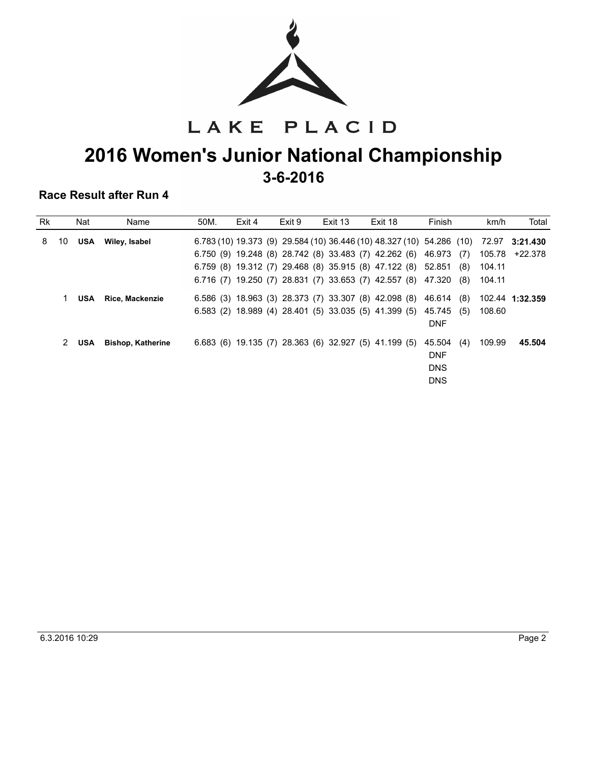

LAKE PLACID

## **2016 Women's Junior National Championship 3-6-2016**

| <b>Rk</b> |    | Nat        | Name                     | 50M. | Exit 4 | Exit 9 | Exit 13 | Exit 18                                                               | Finish                      | km/h            | Total   |
|-----------|----|------------|--------------------------|------|--------|--------|---------|-----------------------------------------------------------------------|-----------------------------|-----------------|---------|
| 8         | 10 | <b>USA</b> | Wiley, Isabel            |      |        |        |         | 6.783 (10) 19.373 (9) 29.584 (10) 36.446 (10) 48.327 (10) 54.286 (10) |                             | 72.97 3:21.430  |         |
|           |    |            |                          |      |        |        |         | 6.750 (9) 19.248 (8) 28.742 (8) 33.483 (7) 42.262 (6) 46.973          | (7)                         | 105.78          | +22.378 |
|           |    |            |                          |      |        |        |         | 6.759 (8) 19.312 (7) 29.468 (8) 35.915 (8) 47.122 (8) 52.851          | (8)                         | 104.11          |         |
|           |    |            |                          |      |        |        |         | 6.716 (7) 19.250 (7) 28.831 (7) 33.653 (7) 42.557 (8) 47.320          | (8)                         | 104.11          |         |
|           |    | <b>USA</b> | Rice, Mackenzie          |      |        |        |         | $6.586$ (3) 18.963 (3) 28.373 (7) 33.307 (8) 42.098 (8)               | 46.614<br>(8)               | 102.44 1:32.359 |         |
|           |    |            |                          |      |        |        |         | 6.583 (2) 18.989 (4) 28.401 (5) 33.035 (5) 41.399 (5) 45.745          | (5)<br><b>DNF</b>           | 108.60          |         |
|           | 2  | <b>USA</b> | <b>Bishop, Katherine</b> |      |        |        |         | $6.683$ (6) 19.135 (7) 28.363 (6) 32.927 (5) 41.199 (5)               | 45.504<br>(4)<br><b>DNF</b> | 109.99          | 45.504  |
|           |    |            |                          |      |        |        |         |                                                                       | <b>DNS</b>                  |                 |         |
|           |    |            |                          |      |        |        |         |                                                                       | <b>DNS</b>                  |                 |         |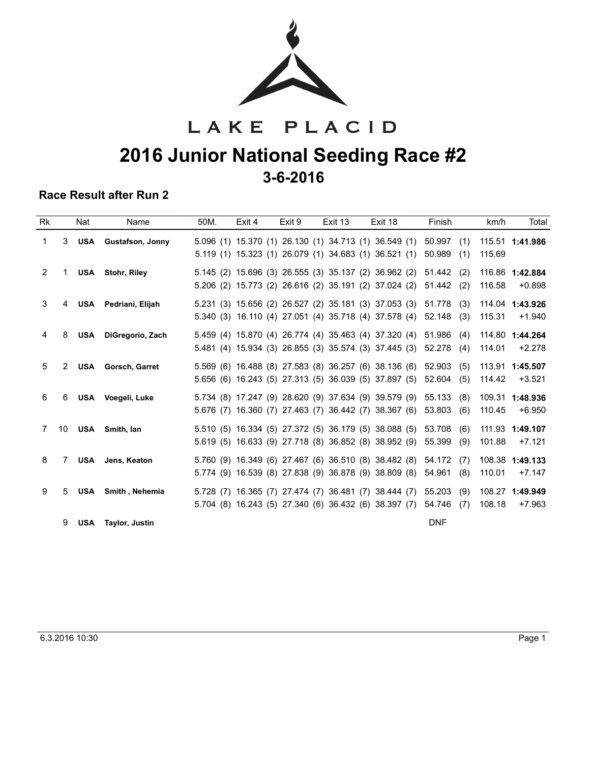

# LAKE PLACID **2016 Junior National Seeding Race #2 3-6-2016**

| Rk             |                | Nat        | Name                      | 50M. | Exit 4 | Exit 9 | Exit 13 | Exit 18                                                                                                               | Finish                         | km/h<br>Total                         |
|----------------|----------------|------------|---------------------------|------|--------|--------|---------|-----------------------------------------------------------------------------------------------------------------------|--------------------------------|---------------------------------------|
| 1              | 3              | <b>USA</b> | <b>Gustafson, Jonny</b>   |      |        |        |         | 5.096 (1) 15.370 (1) 26.130 (1) 34.713 (1) 36.549 (1)<br>5.119 (1) 15.323 (1) 26.079 (1) 34.683 (1) 36.521 (1)        | 50.997<br>(1)<br>50.989<br>(1) | 115.51 1:41.986<br>115.69             |
| $\overline{2}$ | $\mathbf 1$    |            | <b>USA</b> Stohr, Riley   |      |        |        |         | 5.145 (2) 15.696 (3) 26.555 (3) 35.137 (2) 36.962 (2)<br>5.206 (2) 15.773 (2) 26.616 (2) 35.191 (2) 37.024 (2)        | 51.442<br>(2)<br>51.442<br>(2) | 116.86 1:42.884<br>$+0.898$<br>116.58 |
| 3              | 4              |            | USA Pedriani, Elijah      |      |        |        |         | 5.231 (3) 15.656 (2) 26.527 (2) 35.181 (3) 37.053 (3)<br>5.340 (3) 16.110 (4) 27.051 (4) 35.718 (4) 37.578 (4)        | 51.778<br>(3)<br>52.148<br>(3) | 114.04 1:43.926<br>115.31<br>$+1.940$ |
| 4              | 8              |            | USA DiGregorio, Zach      |      |        |        |         | 5.459 (4) 15.870 (4) 26.774 (4) 35.463 (4) 37.320 (4)<br>5.481 (4) 15.934 (3) 26.855 (3) 35.574 (3) 37.445 (3)        | 51.986<br>(4)<br>52.278<br>(4) | 114.80 1:44.264<br>$+2.278$<br>114.01 |
| 5              | $\overline{2}$ |            | <b>USA</b> Gorsch, Garret |      |        |        |         | 5.569 (6) 16.488 (8) 27.583 (8) 36.257 (6) 38.136 (6)<br>5.656 (6) 16.243 (5) 27.313 (5) 36.039 (5) 37.897 (5)        | 52.903<br>(5)<br>52.604<br>(5) | 113.91 1:45.507<br>114.42<br>$+3.521$ |
| 6              | 6              |            | USA Voegeli, Luke         |      |        |        |         | 5.734 (8) 17.247 (9) 28.620 (9) 37.634 (9) 39.579 (9)<br>5.676 (7) 16.360 (7) 27.463 (7) 36.442 (7) 38.367 (6)        | 55.133<br>(8)<br>(6)<br>53.803 | 109.31 1:48.936<br>110.45<br>$+6.950$ |
| 7              | 10             |            | USA Smith, lan            |      |        |        |         | 5.510 (5) 16.334 (5) 27.372 (5) 36.179 (5) 38.088 (5)<br>5.619 (5) 16.633 (9) 27.718 (8) 36.852 (8) 38.952 (9)        | 53.708<br>(6)<br>55.399<br>(9) | 111.93 1:49.107<br>101.88<br>$+7.121$ |
| 8              | 7              |            | <b>USA</b> Jens, Keaton   |      |        |        |         | 5.760 (9) 16.349 (6) 27.467 (6) 36.510 (8) 38.482 (8)<br>5.774 (9) 16.539 (8) 27.838 (9) 36.878 (9) 38.809 (8)        | 54.172<br>(7)<br>54.961<br>(8) | 108.38 1:49.133<br>110.01<br>$+7.147$ |
| 9              | 5              | <b>USA</b> | Smith, Nehemia            |      |        |        |         | 5.728 (7) 16.365 (7) 27.474 (7) 36.481 (7) 38.444 (7)<br>5.704 (8) 16.243 (5) 27.340 (6) 36.432 (6) 38.397 (7) 54.746 | 55.203<br>(9)<br>(7)           | 108.27 1:49.949<br>108.18<br>$+7.963$ |
|                | 9              | <b>USA</b> | Taylor, Justin            |      |        |        |         |                                                                                                                       | <b>DNF</b>                     |                                       |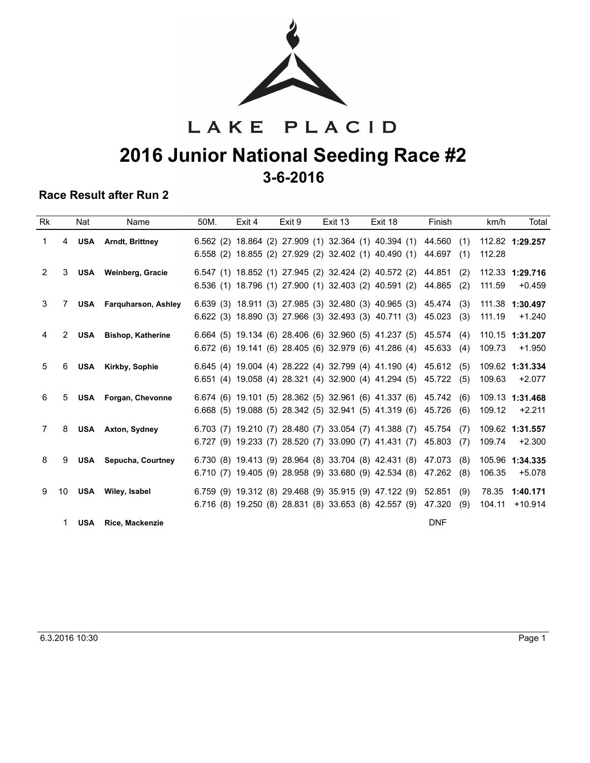

# LAKE PLACID **2016 Junior National Seeding Race #2 3-6-2016**

| Rk |                | Nat        | Name                           | 50M. | Exit 4 | Exit 9 | Exit 13 | Exit 18                                                                                                                  | Finish                         | km/h<br>Total                          |  |
|----|----------------|------------|--------------------------------|------|--------|--------|---------|--------------------------------------------------------------------------------------------------------------------------|--------------------------------|----------------------------------------|--|
| 1  | 4              |            | <b>USA</b> Arndt, Brittney     |      |        |        |         | $6.562$ (2) $18.864$ (2) $27.909$ (1) $32.364$ (1) $40.394$ (1)<br>6.558 (2) 18.855 (2) 27.929 (2) 32.402 (1) 40.490 (1) | 44.560<br>(1)<br>44.697<br>(1) | 112.82 1:29.257<br>112.28              |  |
| 2  | 3              |            | USA Weinberg, Gracie           |      |        |        |         | 6.547 (1) 18.852 (1) 27.945 (2) 32.424 (2) 40.572 (2)<br>6.536 (1) 18.796 (1) 27.900 (1) 32.403 (2) 40.591 (2)           | 44.851<br>(2)<br>44.865<br>(2) | 112.33 1:29.716<br>111.59<br>$+0.459$  |  |
| 3  | 7              |            | <b>USA</b> Farquharson, Ashley |      |        |        |         | 6.639 (3) 18.911 (3) 27.985 (3) 32.480 (3) 40.965 (3)<br>6.622 (3) 18.890 (3) 27.966 (3) 32.493 (3) 40.711 (3)           | 45.474<br>(3)<br>45.023<br>(3) | 111.38 1:30.497<br>111.19<br>$+1.240$  |  |
| 4  | $\overline{2}$ | <b>USA</b> | <b>Bishop, Katherine</b>       |      |        |        |         | 6.664 (5) 19.134 (6) 28.406 (6) 32.960 (5) 41.237 (5)<br>6.672 (6) 19.141 (6) 28.405 (6) 32.979 (6) 41.286 (4)           | 45.574<br>(4)<br>45.633<br>(4) | 110.15 1:31.207<br>109.73<br>$+1.950$  |  |
| 5  | 6              |            | USA Kirkby, Sophie             |      |        |        |         | 6.645 (4) 19.004 (4) 28.222 (4) 32.799 (4) 41.190 (4)<br>6.651 (4) 19.058 (4) 28.321 (4) 32.900 (4) 41.294 (5)           | 45.612<br>(5)<br>45.722<br>(5) | 109.62 1:31.334<br>109.63<br>$+2.077$  |  |
| 6  | 5              |            | USA Forgan, Chevonne           |      |        |        |         | 6.674 (6) 19.101 (5) 28.362 (5) 32.961 (6) 41.337 (6)<br>6.668 (5) 19.088 (5) 28.342 (5) 32.941 (5) 41.319 (6)           | 45.742<br>(6)<br>45.726<br>(6) | 109.13 1:31.468<br>$+2.211$<br>109.12  |  |
| 7  | 8              |            | <b>USA</b> Axton, Sydney       |      |        |        |         | 6.703 (7) 19.210 (7) 28.480 (7) 33.054 (7) 41.388 (7)<br>6.727 (9) 19.233 (7) 28.520 (7) 33.090 (7) 41.431 (7)           | 45.754<br>(7)<br>45.803<br>(7) | 109.62 1:31.557<br>109.74<br>$+2.300$  |  |
| 8  | 9              |            | <b>USA</b> Sepucha, Courtney   |      |        |        |         | 6.730 (8) 19.413 (9) 28.964 (8) 33.704 (8) 42.431 (8)<br>6.710 (7) 19.405 (9) 28.958 (9) 33.680 (9) 42.534 (8)           | 47.073<br>(8)<br>47.262<br>(8) | 105.96 1:34.335<br>106.35<br>$+5.078$  |  |
| 9  | 10             |            | USA Wiley, Isabel              |      |        |        |         | 6.759 (9) 19.312 (8) 29.468 (9) 35.915 (9) 47.122 (9)<br>6.716 (8) 19.250 (8) 28.831 (8) 33.653 (8) 42.557 (9)           | 52.851<br>(9)<br>47.320<br>(9) | 78.35<br>1:40.171<br>104.11<br>+10.914 |  |
|    | 1.             |            | <b>USA</b> Rice, Mackenzie     |      |        |        |         |                                                                                                                          | <b>DNF</b>                     |                                        |  |